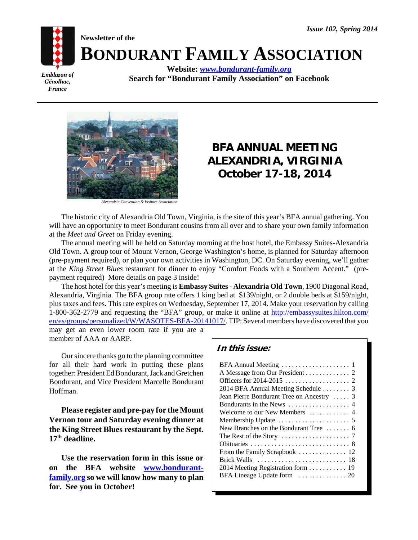*Emblazon of Génolhac, France*

**BONDURANT FAMILY ASSOCIATION Website:** *www.bondurant-family.org*

**Search for "Bondurant Family Association" on Facebook**



**Newsletter of the**

*Alexandria Convention & Visitors Association*

# **BFA ANNUAL MEETING ALEXANDRIA, VIRGINIA October 17-18, 2014**

The historic city of Alexandria Old Town, Virginia, is the site of this year's BFA annual gathering. You will have an opportunity to meet Bondurant cousins from all over and to share your own family information at the *Meet and Greet* on Friday evening.

The annual meeting will be held on Saturday morning at the host hotel, the Embassy Suites-Alexandria Old Town. A group tour of Mount Vernon, George Washington's home, is planned for Saturday afternoon (pre-payment required), or plan your own activities in Washington, DC. On Saturday evening, we'll gather at the *King Street Blues* restaurant for dinner to enjoy "Comfort Foods with a Southern Accent." (prepayment required) More details on page 3 inside!

The host hotel for this year's meeting is **Embassy Suites - Alexandria Old Town**, 1900 Diagonal Road, Alexandria, Virginia. The BFA group rate offers 1 king bed at \$139/night, or 2 double beds at \$159/night, plus taxes and fees. This rate expires on Wednesday, September 17, 2014. Make your reservation by calling 1-800-362-2779 and requesting the "BFA" group, or make it online at http://embassysuites.hilton.com/ en/es/groups/personalized/W/WASOTES-BFA-20141017/. TIP: Several members have discovered that you may get an even lower room rate if you are a

member of AAA or AARP.

Our sincere thanks go to the planning committee for all their hard work in putting these plans together: President Ed Bondurant, Jack and Gretchen Bondurant, and Vice President Marcelle Bondurant Hoffman.

**Please register and pre-pay for the Mount Vernon tour and Saturday evening dinner at the King Street Blues restaurant by the Sept. 17th deadline.**

**Use the reservation form in this issue or on the BFA website www.bondurantfamily.org so we will know how many to plan for. See you in October!**

### **In this issue:**

| A Message from Our President 2                                               |
|------------------------------------------------------------------------------|
|                                                                              |
| 2014 BFA Annual Meeting Schedule  3                                          |
| Jean Pierre Bondurant Tree on Ancestry  3                                    |
|                                                                              |
| Welcome to our New Members  4                                                |
|                                                                              |
| New Branches on the Bondurant Tree $\dots \dots 6$                           |
| The Rest of the Story $\dots \dots \dots \dots \dots \dots$ 7                |
|                                                                              |
|                                                                              |
| Brick Walls $\dots \dots \dots \dots \dots \dots \dots \dots \dots \dots$ 18 |
| 2014 Meeting Registration form  19                                           |
|                                                                              |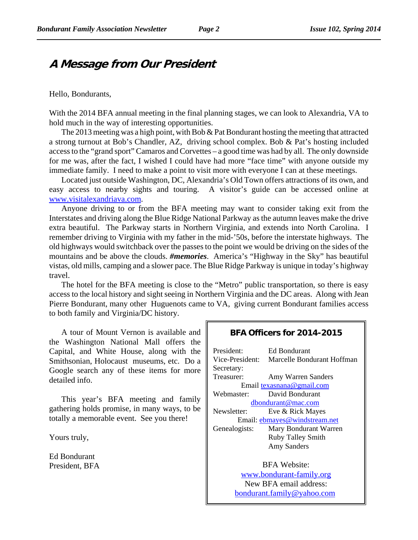# **A Message from Our President**

### Hello, Bondurants,

With the 2014 BFA annual meeting in the final planning stages, we can look to Alexandria, VA to hold much in the way of interesting opportunities.

The 2013 meeting was a high point, with Bob & Pat Bondurant hosting the meeting that attracted a strong turnout at Bob's Chandler, AZ, driving school complex. Bob & Pat's hosting included access to the "grand sport" Camaros and Corvettes – a good time was had by all. The only downside for me was, after the fact, I wished I could have had more "face time" with anyone outside my immediate family. I need to make a point to visit more with everyone I can at these meetings.

Located just outside Washington, DC, Alexandria's Old Town offers attractions of its own, and easy access to nearby sights and touring. A visitor's guide can be accessed online at www.visitalexandriava.com.

Anyone driving to or from the BFA meeting may want to consider taking exit from the Interstates and driving along the Blue Ridge National Parkway as the autumn leaves make the drive extra beautiful. The Parkway starts in Northern Virginia, and extends into North Carolina. I remember driving to Virginia with my father in the mid-'50s, before the interstate highways. The old highways would switchback over the passes to the point we would be driving on the sides of the mountains and be above the clouds. *#memories*. America's "Highway in the Sky" has beautiful vistas, old mills, camping and a slower pace. The Blue Ridge Parkway is unique in today's highway travel.

The hotel for the BFA meeting is close to the "Metro" public transportation, so there is easy access to the local history and sight seeing in Northern Virginia and the DC areas. Along with Jean Pierre Bondurant, many other Huguenots came to VA, giving current Bondurant families access to both family and Virginia/DC history.

A tour of Mount Vernon is available and the Washington National Mall offers the Capital, and White House, along with the Smithsonian, Holocaust museums, etc. Do a Google search any of these items for more detailed info.

This year's BFA meeting and family gathering holds promise, in many ways, to be totally a memorable event. See you there!

Yours truly,

Ed Bondurant President, BFA

### **BFA Officers for 2014-2015**

| President:         | <b>Ed Bondurant</b>                        |
|--------------------|--------------------------------------------|
|                    | Vice-President: Marcelle Bondurant Hoffman |
| Secretary:         |                                            |
| Treasurer:         | Amy Warren Sanders                         |
|                    | Email texasnana@gmail.com                  |
| Webmaster:         | David Bondurant                            |
|                    | dbondurant@mac.com                         |
| Newsletter:        | Eve & Rick Mayes                           |
|                    | Email: ebmayes@windstream.net              |
| Genealogists:      | Mary Bondurant Warren                      |
|                    | <b>Ruby Talley Smith</b>                   |
| <b>Amy Sanders</b> |                                            |
|                    |                                            |
|                    | <b>BFA</b> Website:                        |
|                    | www.bondurant-family.org                   |
|                    | New BFA email address:                     |
|                    | bondurant.family@yahoo.com                 |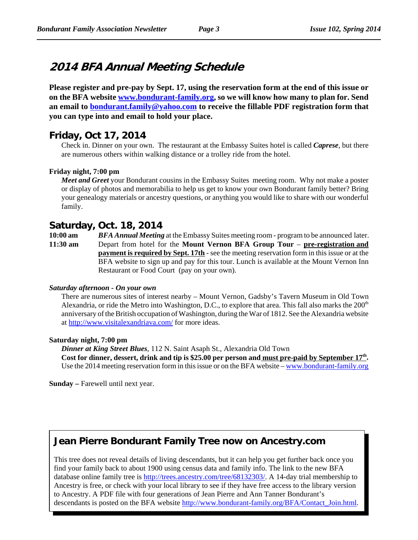# **2014 BFA Annual Meeting Schedule**

**Please register and pre-pay by Sept. 17, using the reservation form at the end of this issue or on the BFA website www.bondurant-family.org, so we will know how many to plan for. Send an email to bondurant.family@yahoo.com to receive the fillable PDF registration form that you can type into and email to hold your place.**

### **Friday, Oct 17, 2014**

Check in. Dinner on your own. The restaurant at the Embassy Suites hotel is called *Caprese*, but there are numerous others within walking distance or a trolley ride from the hotel.

#### **Friday night, 7:00 pm**

*Meet and Greet* your Bondurant cousins in the Embassy Suites meeting room. Why not make a poster or display of photos and memorabilia to help us get to know your own Bondurant family better? Bring your genealogy materials or ancestry questions, or anything you would like to share with our wonderful family.

### **Saturday, Oct. 18, 2014**

**10:00 am** *BFA Annual Meeting* at the Embassy Suites meeting room - program to be announced later. **11:30 am** Depart from hotel for the **Mount Vernon BFA Group Tour** – **pre-registration and payment is required by Sept. 17th** - see the meeting reservation form in this issue or at the BFA website to sign up and pay for this tour. Lunch is available at the Mount Vernon Inn Restaurant or Food Court (pay on your own).

#### *Saturday afternoon - On your own*

There are numerous sites of interest nearby – Mount Vernon, Gadsby's Tavern Museum in Old Town Alexandria, or ride the Metro into Washington, D.C., to explore that area. This fall also marks the  $200<sup>th</sup>$ anniversary of the British occupation of Washington, during the War of 1812. See the Alexandria website at http://www.visitalexandriava.com/ for more ideas.

#### **Saturday night, 7:00 pm**

*Dinner at King Street Blues*, 112 N. Saint Asaph St., Alexandria Old Town Cost for dinner, dessert, drink and tip is \$25.00 per person and must pre-paid by September 17<sup>th</sup>. Use the 2014 meeting reservation form in this issue or on the BFA website – www.bondurant-family.org

**Sunday** – Farewell until next year.

# **Jean Pierre Bondurant Family Tree now on Ancestry.com**

This tree does not reveal details of living descendants, but it can help you get further back once you find your family back to about 1900 using census data and family info. The link to the new BFA database online family tree is http://trees.ancestry.com/tree/68132303/. A 14-day trial membership to Ancestry is free, or check with your local library to see if they have free access to the library version to Ancestry. A PDF file with four generations of Jean Pierre and Ann Tanner Bondurant's descendants is posted on the BFA website http://www.bondurant-family.org/BFA/Contact\_Join.html.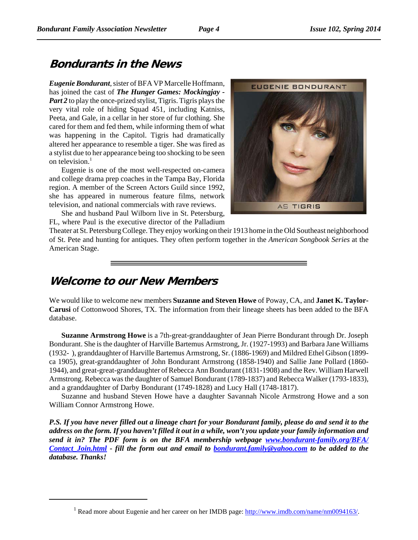# **Bondurants in the News**

*Eugenie Bondurant*, sister of BFA VP Marcelle Hoffmann, has joined the cast of *The Hunger Games: Mockingjay - Part 2* to play the once-prized stylist, Tigris. Tigris plays the very vital role of hiding Squad 451, including Katniss, Peeta, and Gale, in a cellar in her store of fur clothing. She cared for them and fed them, while informing them of what was happening in the Capitol. Tigris had dramatically altered her appearance to resemble a tiger. She was fired as a stylist due to her appearance being too shocking to be seen on television.<sup>1</sup>

Eugenie is one of the most well-respected on-camera and college drama prep coaches in the Tampa Bay, Florida region. A member of the Screen Actors Guild since 1992, she has appeared in numerous feature films, network television, and national commercials with rave reviews.

 She and husband Paul Wilborn live in St. Petersburg, FL, where Paul is the executive director of the Palladium



Theater at St. Petersburg College. They enjoy working on their 1913 home in the Old Southeast neighborhood of St. Pete and hunting for antiques. They often perform together in the *American Songbook Series* at the American Stage.

# **Welcome to our New Members**

We would like to welcome new members **Suzanne and Steven Howe** of Poway, CA, and **Janet K. Taylor-Carusi** of Cottonwood Shores, TX. The information from their lineage sheets has been added to the BFA database.

**Suzanne Armstrong Howe** is a 7th-great-granddaughter of Jean Pierre Bondurant through Dr. Joseph Bondurant. She is the daughter of Harville Bartemus Armstrong, Jr. (1927-1993) and Barbara Jane Williams (1932- ), granddaughter of Harville Bartemus Armstrong, Sr. (1886-1969) and Mildred Ethel Gibson (1899 ca 1905), great-granddaughter of John Bondurant Armstrong (1858-1940) and Sallie Jane Pollard (1860- 1944), and great-great-granddaughter of Rebecca Ann Bondurant (1831-1908) and the Rev. William Harwell Armstrong. Rebecca was the daughter of Samuel Bondurant (1789-1837) and Rebecca Walker (1793-1833), and a granddaughter of Darby Bondurant (1749-1828) and Lucy Hall (1748-1817).

Suzanne and husband Steven Howe have a daughter Savannah Nicole Armstrong Howe and a son William Connor Armstrong Howe.

*P.S. If you have never filled out a lineage chart for your Bondurant family, please do and send it to the address on the form. If you haven't filled it out in a while, won't you update your family information and send it in? The PDF form is on the BFA membership webpage www.bondurant-family.org/BFA/ Contact\_Join.html - fill the form out and email to bondurant.family@yahoo.com to be added to the database. Thanks!*

<sup>&</sup>lt;sup>1</sup> Read more about Eugenie and her career on her IMDB page: http://www.imdb.com/name/nm0094163/.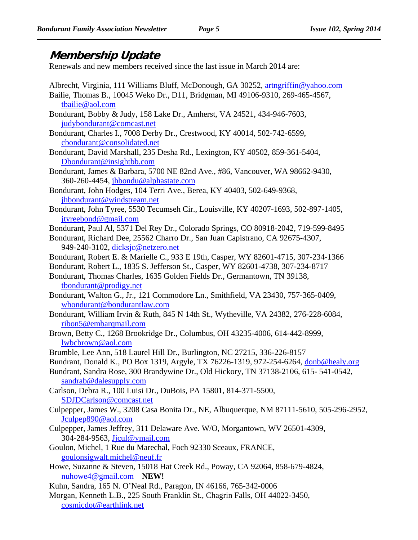# **Membership Update**

Renewals and new members received since the last issue in March 2014 are:

- Albrecht, Virginia, 111 Williams Bluff, McDonough, GA 30252, artngriffin@yahoo.com Bailie, Thomas B., 10045 Weko Dr., D11, Bridgman, MI 49106-9310, 269-465-4567, tbailie@aol.com Bondurant, Bobby & Judy, 158 Lake Dr., Amherst, VA 24521, 434-946-7603, judybondurant@comcast.net Bondurant, Charles I., 7008 Derby Dr., Crestwood, KY 40014, 502-742-6599, cbondurant@consolidated.net Bondurant, David Marshall, 235 Desha Rd., Lexington, KY 40502, 859-361-5404, Dbondurant@insightbb.com Bondurant, James & Barbara, 5700 NE 82nd Ave., #86, Vancouver, WA 98662-9430, 360-260-4454, jhbondu@alphastate.com Bondurant, John Hodges, 104 Terri Ave., Berea, KY 40403, 502-649-9368, jhbondurant@windstream.net Bondurant, John Tyree, 5530 Tecumseh Cir., Louisville, KY 40207-1693, 502-897-1405, jtyreebond@gmail.com Bondurant, Paul Al, 5371 Del Rey Dr., Colorado Springs, CO 80918-2042, 719-599-8495 Bondurant, Richard Dee, 25562 Charro Dr., San Juan Capistrano, CA 92675-4307, 949-240-3102, dicksjc@netzero.net Bondurant, Robert E. & Marielle C., 933 E 19th, Casper, WY 82601-4715, 307-234-1366 Bondurant, Robert L., 1835 S. Jefferson St., Casper, WY 82601-4738, 307-234-8717 Bondurant, Thomas Charles, 1635 Golden Fields Dr., Germantown, TN 39138, tbondurant@prodigy.net Bondurant, Walton G., Jr., 121 Commodore Ln., Smithfield, VA 23430, 757-365-0409, wbondurant@bondurantlaw.com Bondurant, William Irvin & Ruth, 845 N 14th St., Wytheville, VA 24382, 276-228-6084, ribon5@embarqmail.com Brown, Betty C., 1268 Brookridge Dr., Columbus, OH 43235-4006, 614-442-8999, lwbcbrown@aol.com Brumble, Lee Ann, 518 Laurel Hill Dr., Burlington, NC 27215, 336-226-8157 Bundrant, Donald K., PO Box 1319, Argyle, TX 76226-1319, 972-254-6264, donb@healy.org Bundrant, Sandra Rose, 300 Brandywine Dr., Old Hickory, TN 37138-2106, 615- 541-0542, sandrab@dalesupply.com Carlson, Debra R., 100 Luisi Dr., DuBois, PA 15801, 814-371-5500, SDJDCarlson@comcast.net Culpepper, James W., 3208 Casa Bonita Dr., NE, Albuquerque, NM 87111-5610, 505-296-2952, Jculpep890@aol.com Culpepper, James Jeffrey, 311 Delaware Ave. W/O, Morgantown, WV 26501-4309, 304-284-9563, Jjcul@ymail.com Goulon, Michel, 1 Rue du Marechal, Foch 92330 Sceaux, FRANCE, goulonsigwalt.michel@neuf.fr Howe, Suzanne & Steven, 15018 Hat Creek Rd., Poway, CA 92064, 858-679-4824, nuhowe4@gmail.com **NEW!**
- Kuhn, Sandra, 165 N. O'Neal Rd., Paragon, IN 46166, 765-342-0006
- Morgan, Kenneth L.B., 225 South Franklin St., Chagrin Falls, OH 44022-3450, cosmicdot@earthlink.net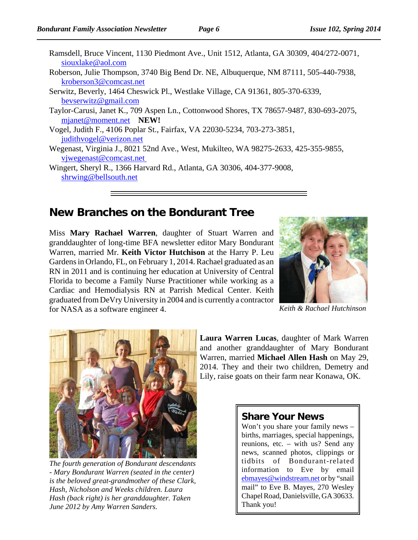| Ramsdell, Bruce Vincent, 1130 Piedmont Ave., Unit 1512, Atlanta, GA 30309, 404/272-0071, |
|------------------------------------------------------------------------------------------|
| siouxlake@aol.com                                                                        |
| Roberson, Julie Thompson, 3740 Big Bend Dr. NE, Albuquerque, NM 87111, 505-440-7938,     |
| kroberson3@comcast.net                                                                   |
| Serwitz, Beverly, 1464 Cheswick Pl., Westlake Village, CA 91361, 805-370-6339,           |
| beyserwitz@gmail.com                                                                     |
| Taylor-Carusi, Janet K., 709 Aspen Ln., Cottonwood Shores, TX 78657-9487, 830-693-2075,  |
| mjanet@moment.net NEW!                                                                   |
| Vogel, Judith F., 4106 Poplar St., Fairfax, VA 22030-5234, 703-273-3851,                 |
| judithvogel@verizon.net                                                                  |

Wegenast, Virginia J., 8021 52nd Ave., West, Mukilteo, WA 98275-2633, 425-355-9855, vjwegenast@comcast.net

Wingert, Sheryl R., 1366 Harvard Rd., Atlanta, GA 30306, 404-377-9008, shrwing@bellsouth.net

### **New Branches on the Bondurant Tree**

Miss **Mary Rachael Warren**, daughter of Stuart Warren and granddaughter of long-time BFA newsletter editor Mary Bondurant Warren, married Mr. **Keith Victor Hutchison** at the Harry P. Leu Gardens in Orlando, FL, on February 1, 2014. Rachael graduated as an RN in 2011 and is continuing her education at University of Central Florida to become a Family Nurse Practitioner while working as a Cardiac and Hemodialysis RN at Parrish Medical Center. Keith graduated from DeVry University in 2004 and is currently a contractor for NASA as a software engineer 4.



*Keith & Rachael Hutchinson*



*The fourth generation of Bondurant descendants - Mary Bondurant Warren (seated in the center) is the beloved great-grandmother of these Clark, Hash, Nicholson and Weeks children. Laura Hash (back right) is her granddaughter. Taken June 2012 by Amy Warren Sanders.*

**Laura Warren Lucas**, daughter of Mark Warren and another granddaughter of Mary Bondurant Warren, married **Michael Allen Hash** on May 29, 2014. They and their two children, Demetry and Lily, raise goats on their farm near Konawa, OK.

### **Share Your News**

Won't you share your family news – births, marriages, special happenings, reunions, etc. – with us? Send any news, scanned photos, clippings or tidbits of Bondurant-related information to Eve by email ebmayes@windstream.net or by "snail mail" to Eve B. Mayes, 270 Wesley Chapel Road, Danielsville, GA 30633. Thank you!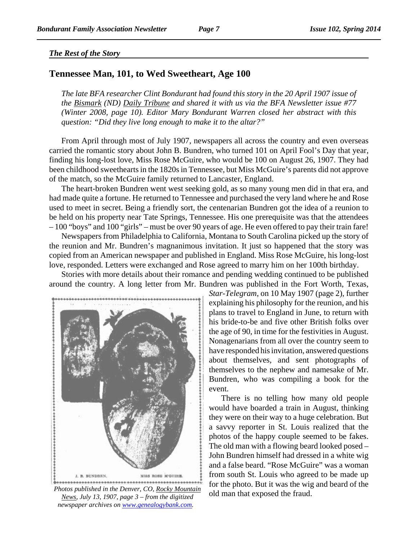### *The Rest of the Story*

### **Tennessee Man, 101, to Wed Sweetheart, Age 100**

*The late BFA researcher Clint Bondurant had found this story in the 20 April 1907 issue of the Bismark (ND) Daily Tribune and shared it with us via the BFA Newsletter issue #77 (Winter 2008, page 10). Editor Mary Bondurant Warren closed her abstract with this question: "Did they live long enough to make it to the altar?"*

From April through most of July 1907, newspapers all across the country and even overseas carried the romantic story about John B. Bundren, who turned 101 on April Fool's Day that year, finding his long-lost love, Miss Rose McGuire, who would be 100 on August 26, 1907. They had been childhood sweethearts in the 1820s in Tennessee, but Miss McGuire's parents did not approve of the match, so the McGuire family returned to Lancaster, England.

The heart-broken Bundren went west seeking gold, as so many young men did in that era, and had made quite a fortune. He returned to Tennessee and purchased the very land where he and Rose used to meet in secret. Being a friendly sort, the centenarian Bundren got the idea of a reunion to be held on his property near Tate Springs, Tennessee. His one prerequisite was that the attendees – 100 "boys" and 100 "girls" – must be over 90 years of age. He even offered to pay their train fare!

Newspapers from Philadelphia to California, Montana to South Carolina picked up the story of the reunion and Mr. Bundren's magnanimous invitation. It just so happened that the story was copied from an American newspaper and published in England. Miss Rose McGuire, his long-lost love, responded. Letters were exchanged and Rose agreed to marry him on her 100th birthday.

Stories with more details about their romance and pending wedding continued to be published around the country. A long letter from Mr. Bundren was published in the Fort Worth, Texas,



Photos published in the Denver, CO, <u>Rocky Mountain</u><br>*Naws*, July 13, 1007, nage 3, from the digitized old man that exposed the fraud. *News, July 13, 1907, page 3 – from the digitized newspaper archives on www.genealogybank.com.* 

*Star-Telegram*, on 10 May 1907 (page 2), further explaining his philosophy for the reunion, and his plans to travel to England in June, to return with his bride-to-be and five other British folks over the age of 90, in time for the festivities in August. Nonagenarians from all over the country seem to have responded his invitation, answered questions about themselves, and sent photographs of themselves to the nephew and namesake of Mr. Bundren, who was compiling a book for the event.

There is no telling how many old people would have boarded a train in August, thinking they were on their way to a huge celebration. But a savvy reporter in St. Louis realized that the photos of the happy couple seemed to be fakes. The old man with a flowing beard looked posed – John Bundren himself had dressed in a white wig and a false beard. "Rose McGuire" was a woman from south St. Louis who agreed to be made up for the photo. But it was the wig and beard of the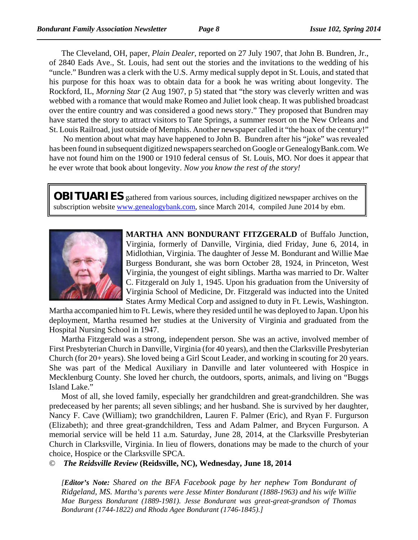The Cleveland, OH, paper, *Plain Dealer*, reported on 27 July 1907, that John B. Bundren, Jr., of 2840 Eads Ave., St. Louis, had sent out the stories and the invitations to the wedding of his "uncle." Bundren was a clerk with the U.S. Army medical supply depot in St. Louis, and stated that his purpose for this hoax was to obtain data for a book he was writing about longevity. The Rockford, IL, *Morning Star* (2 Aug 1907, p 5) stated that "the story was cleverly written and was webbed with a romance that would make Romeo and Juliet look cheap. It was published broadcast over the entire country and was considered a good news story." They proposed that Bundren may have started the story to attract visitors to Tate Springs, a summer resort on the New Orleans and St. Louis Railroad, just outside of Memphis. Another newspaper called it "the hoax of the century!"

 No mention about what may have happened to John B. Bundren after his "joke" was revealed has been found in subsequent digitized newspapers searched on Google or GenealogyBank.com. We have not found him on the 1900 or 1910 federal census of St. Louis, MO. Nor does it appear that he ever wrote that book about longevity. *Now you know the rest of the story!*

**OBITUARIES** gathered from various sources, including digitized newspaper archives on the subscription website www.genealogybank.com, since March 2014, compiled June 2014 by ebm.



**MARTHA ANN BONDURANT FITZGERALD** of Buffalo Junction, Virginia, formerly of Danville, Virginia, died Friday, June 6, 2014, in Midlothian, Virginia. The daughter of Jesse M. Bondurant and Willie Mae Burgess Bondurant, she was born October 28, 1924, in Princeton, West Virginia, the youngest of eight siblings. Martha was married to Dr. Walter C. Fitzgerald on July 1, 1945. Upon his graduation from the University of Virginia School of Medicine, Dr. Fitzgerald was inducted into the United States Army Medical Corp and assigned to duty in Ft. Lewis, Washington.

Martha accompanied him to Ft. Lewis, where they resided until he was deployed to Japan. Upon his deployment, Martha resumed her studies at the University of Virginia and graduated from the Hospital Nursing School in 1947.

Martha Fitzgerald was a strong, independent person. She was an active, involved member of First Presbyterian Church in Danville, Virginia (for 40 years), and then the Clarksville Presbyterian Church (for 20+ years). She loved being a Girl Scout Leader, and working in scouting for 20 years. She was part of the Medical Auxiliary in Danville and later volunteered with Hospice in Mecklenburg County. She loved her church, the outdoors, sports, animals, and living on "Buggs Island Lake."

Most of all, she loved family, especially her grandchildren and great-grandchildren. She was predeceased by her parents; all seven siblings; and her husband. She is survived by her daughter, Nancy F. Cave (William); two grandchildren, Lauren F. Palmer (Eric), and Ryan F. Furgurson (Elizabeth); and three great-grandchildren, Tess and Adam Palmer, and Brycen Furgurson. A memorial service will be held 11 a.m. Saturday, June 28, 2014, at the Clarksville Presbyterian Church in Clarksville, Virginia. In lieu of flowers, donations may be made to the church of your choice, Hospice or the Clarksville SPCA.

© *The Reidsville Review* **(Reidsville, NC), Wednesday, June 18, 2014**

*[Editor's Note: Shared on the BFA Facebook page by her nephew Tom Bondurant of Ridgeland, MS. Martha's parents were Jesse Minter Bondurant (1888-1963) and his wife Willie Mae Burgess Bondurant (1889-1981). Jesse Bondurant was great-great-grandson of Thomas Bondurant (1744-1822) and Rhoda Agee Bondurant (1746-1845).]*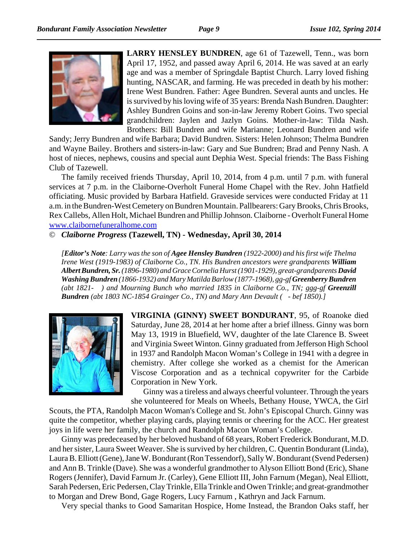

**LARRY HENSLEY BUNDREN**, age 61 of Tazewell, Tenn., was born April 17, 1952, and passed away April 6, 2014. He was saved at an early age and was a member of Springdale Baptist Church. Larry loved fishing hunting, NASCAR, and farming. He was preceded in death by his mother: Irene West Bundren. Father: Agee Bundren. Several aunts and uncles. He is survived by his loving wife of 35 years: Brenda Nash Bundren. Daughter: Ashley Bundren Goins and son-in-law Jeremy Robert Goins. Two special grandchildren: Jaylen and Jazlyn Goins. Mother-in-law: Tilda Nash. Brothers: Bill Bundren and wife Marianne; Leonard Bundren and wife

Sandy; Jerry Bundren and wife Barbara; David Bundren. Sisters: Helen Johnson; Thelma Bundren and Wayne Bailey. Brothers and sisters-in-law: Gary and Sue Bundren; Brad and Penny Nash. A host of nieces, nephews, cousins and special aunt Dephia West. Special friends: The Bass Fishing Club of Tazewell.

The family received friends Thursday, April 10, 2014, from 4 p.m. until 7 p.m. with funeral services at 7 p.m. in the Claiborne-Overholt Funeral Home Chapel with the Rev. John Hatfield officiating. Music provided by Barbara Hatfield. Graveside services were conducted Friday at 11 a.m. in the Bundren-West Cemetery on Bundren Mountain. Pallbearers: Gary Brooks, Chris Brooks, Rex Callebs, Allen Holt, Michael Bundren and Phillip Johnson. Claiborne - Overholt Funeral Home www.claibornefuneralhome.com

© *Claiborne Progress* **(Tazewell, TN) - Wednesday, April 30, 2014**

*[Editor's Note: Larry was the son of Agee Hensley Bundren (1922-2000) and his first wife Thelma Irene West (1919-1983) of Claiborne Co., TN. His Bundren ancestors were grandparents William Albert Bundren, Sr. (1896-1980) and Grace Cornelia Hurst (1901-1929), great-grandparents David Washing Bundren (1866-1932) and Mary Matilda Barlow (1877-1968), gg-gf Greenberry Bundren (abt 1821- ) and Mourning Bunch who married 1835 in Claiborne Co., TN; ggg-gf Greenzill Bundren (abt 1803 NC-1854 Grainger Co., TN) and Mary Ann Devault ( - bef 1850).]*



**VIRGINIA (GINNY) SWEET BONDURANT**, 95, of Roanoke died Saturday, June 28, 2014 at her home after a brief illness. Ginny was born May 13, 1919 in Bluefield, WV, daughter of the late Clarence B. Sweet and Virginia Sweet Winton. Ginny graduated from Jefferson High School in 1937 and Randolph Macon Woman's College in 1941 with a degree in chemistry. After college she worked as a chemist for the American Viscose Corporation and as a technical copywriter for the Carbide Corporation in New York.

Ginny was a tireless and always cheerful volunteer. Through the years she volunteered for Meals on Wheels, Bethany House, YWCA, the Girl

Scouts, the PTA, Randolph Macon Woman's College and St. John's Episcopal Church. Ginny was quite the competitor, whether playing cards, playing tennis or cheering for the ACC. Her greatest joys in life were her family, the church and Randolph Macon Woman's College.

Ginny was predeceased by her beloved husband of 68 years, Robert Frederick Bondurant, M.D. and her sister, Laura Sweet Weaver. She is survived by her children, C. Quentin Bondurant (Linda), Laura B. Elliott (Gene), Jane W. Bondurant (Ron Tessendorf), Sally W. Bondurant (Svend Pedersen) and Ann B. Trinkle (Dave). She was a wonderful grandmother to Alyson Elliott Bond (Eric), Shane Rogers (Jennifer), David Farnum Jr. (Carley), Gene Elliott III, John Farnum (Megan), Neal Elliott, Sarah Pedersen, Eric Pedersen, Clay Trinkle, Ella Trinkle and Owen Trinkle; and great-grandmother to Morgan and Drew Bond, Gage Rogers, Lucy Farnum , Kathryn and Jack Farnum.

Very special thanks to Good Samaritan Hospice, Home Instead, the Brandon Oaks staff, her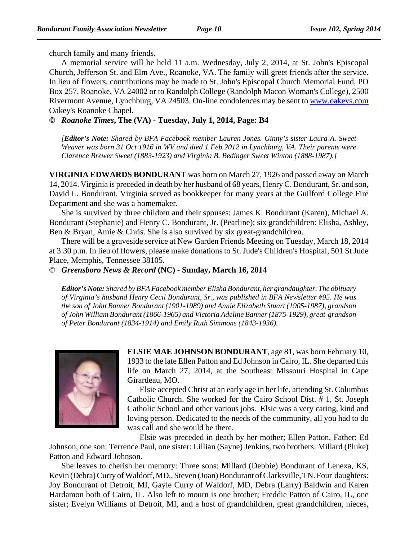church family and many friends.

A memorial service will be held 11 a.m. Wednesday, July 2, 2014, at St. John's Episcopal Church, Jefferson St. and Elm Ave., Roanoke, VA. The family will greet friends after the service. In lieu of flowers, contributions may be made to St. John's Episcopal Church Memorial Fund, PO Box 257, Roanoke, VA 24002 or to Randolph College (Randolph Macon Woman's College), 2500 Rivermont Avenue, Lynchburg, VA 24503. On-line condolences may be sent to www.oakeys.com Oakey's Roanoke Chapel.

**©** *Roanoke Times***, The (VA) - Tuesday, July 1, 2014, Page: B4**

*[Editor's Note: Shared by BFA Facebook member Lauren Jones. Ginny's sister Laura A. Sweet Weaver was born 31 Oct 1916 in WV and died 1 Feb 2012 in Lynchburg, VA. Their parents were Clarence Brewer Sweet (1883-1923) and Virginia B. Bedinger Sweet Winton (1888-1987).]*

**VIRGINIA EDWARDS BONDURANT** was born on March 27, 1926 and passed away on March 14, 2014. Virginia is preceded in death by her husband of 68 years, Henry C. Bondurant, Sr. and son, David L. Bondurant. Virginia served as bookkeeper for many years at the Guilford College Fire Department and she was a homemaker.

She is survived by three children and their spouses: James K. Bondurant (Karen), Michael A. Bondurant (Stephanie) and Henry C. Bondurant, Jr. (Pearline); six grandchildren: Elisha, Ashley, Ben & Bryan, Amie & Chris. She is also survived by six great-grandchildren.

There will be a graveside service at New Garden Friends Meeting on Tuesday, March 18, 2014 at 3:30 p.m. In lieu of flowers, please make donations to St. Jude's Children's Hospital, 501 St Jude Place, Memphis, Tennessee 38105.

© *Greensboro News & Record* **(NC) - Sunday, March 16, 2014**

*Editor's Note: Shared by BFA Facebook member Elisha Bondurant, her grandaughter. The obituary of Virginia's husband Henry Cecil Bondurant, Sr., was published in BFA Newsletter #95. He was the son of John Banner Bondurant (1901-1989) and Annie Elizabeth Stuart (1905-1987), grandson of John William Bondurant (1866-1965) and Victoria Adeline Banner (1875-1929), great-grandson of Peter Bondurant (1834-1914) and Emily Ruth Simmons (1843-1936).*



**ELSIE MAE JOHNSON BONDURANT**, age 81, was born February 10, 1933 to the late Ellen Patton and Ed Johnson in Cairo, IL. She departed this life on March 27, 2014, at the Southeast Missouri Hospital in Cape Girardeau, MO.

Elsie accepted Christ at an early age in her life, attending St. Columbus Catholic Church. She worked for the Cairo School Dist. # 1, St. Joseph Catholic School and other various jobs. Elsie was a very caring, kind and loving person. Dedicated to the needs of the community, all you had to do was call and she would be there.

Elsie was preceded in death by her mother; Ellen Patton, Father; Ed Johnson, one son: Terrence Paul, one sister: Lillian (Sayne) Jenkins, two brothers: Millard (Pluke) Patton and Edward Johnson.

She leaves to cherish her memory: Three sons: Millard (Debbie) Bondurant of Lenexa, KS, Kevin (Debra) Curry of Waldorf, MD., Steven (Joan) Bondurant of Clarksville, TN. Four daughters: Joy Bondurant of Detroit, MI, Gayle Curry of Waldorf, MD, Debra (Larry) Baldwin and Karen Hardamon both of Cairo, IL. Also left to mourn is one brother; Freddie Patton of Cairo, IL, one sister; Evelyn Williams of Detroit, MI, and a host of grandchildren, great grandchildren, nieces,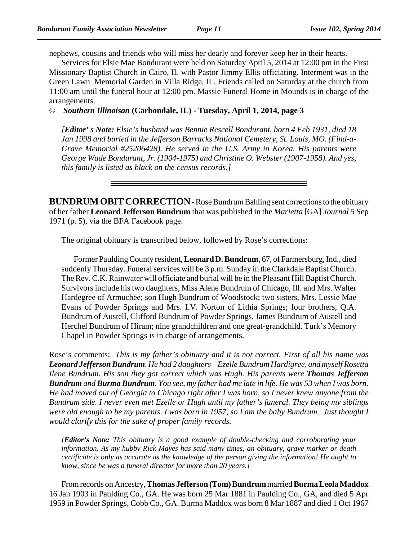nephews, cousins and friends who will miss her dearly and forever keep her in their hearts.

Services for Elsie Mae Bondurant were held on Saturday April 5, 2014 at 12:00 pm in the First Missionary Baptist Church in Cairo, IL with Pastor Jimmy Ellis officiating. Interment was in the Green Lawn Memorial Garden in Villa Ridge, IL. Friends called on Saturday at the church from 11:00 am until the funeral hour at 12:00 pm. Massie Funeral Home in Mounds is in charge of the arrangements.

© *Southern Illinoisan* **(Carbondale, IL) - Tuesday, April 1, 2014, page 3**

*[Editor' s Note: Elsie's husband was Bennie Rescell Bondurant, born 4 Feb 1931, died 18 Jan 1998 and buried in the Jefferson Barracks National Cemetery, St. Louis, MO. (Find-a-Grave Memorial #25206428). He served in the U.S. Army in Korea. His parents were George Wade Bondurant, Jr. (1904-1975) and Christine O. Webster (1907-1958). And yes, this family is listed as black on the census records.]*

**BUNDRUM OBIT CORRECTION** - Rose Bundrum Bahling sent corrections to the obituary of her father **Leonard Jefferson Bundrum** that was published in the *Marietta* [GA] *Journal* 5 Sep 1971 (p. 5), via the BFA Facebook page.

The original obituary is transcribed below, followed by Rose's corrections:

Former Paulding County resident, **Leonard D. Bundrum**, 67, of Farmersburg, Ind., died suddenly Thursday. Funeral services will be 3 p.m. Sunday in the Clarkdale Baptist Church. The Rev. C.K. Rainwater will officiate and burial will be in the Pleasant Hill Baptist Church. Survivors include his two daughters, Miss Alene Bundrum of Chicago, Ill. and Mrs. Walter Hardegree of Armuchee; son Hugh Bundrum of Woodstock; two sisters, Mrs. Lessie Mae Evans of Powder Springs and Mrs. I.V. Norton of Lithia Springs; four brothers, Q.A. Bundrum of Austell, Clifford Bundrum of Powder Springs, James Bundrum of Austell and Herchel Bundrum of Hiram; nine grandchildren and one great-grandchild. Turk's Memory Chapel in Powder Springs is in charge of arrangements.

Rose's comments: *This is my father's obituary and it is not correct. First of all his name was Leonard Jefferson Bundrum. He had 2 daughters – Ezelle Bundrum Hardigree, and myself Rosetta Ilene Bundrum. His son they got correct which was Hugh. His parents were Thomas Jefferson Bundrum and Burma Bundrum. You see, my father had me late in life. He was 53 when I was born. He had moved out of Georgia to Chicago right after I was born, so I never knew anyone from the Bundrum side. I never even met Ezelle or Hugh until my father's funeral. They being my siblings were old enough to be my parents. I was born in 1957, so I am the baby Bundrum. Just thought I would clarify this for the sake of proper family records.*

*[Editor's Note: This obituary is a good example of double-checking and corroborating your information. As my hubby Rick Mayes has said many times, an obituary, grave marker or death certificate is only as accurate as the knowledge of the person giving the information! He ought to know, since he was a funeral director for more than 20 years.]*

From records on Ancestry, **Thomas Jefferson (Tom) Bundrum** married **Burma Leola Maddox** 16 Jan 1903 in Paulding Co., GA. He was born 25 Mar 1881 in Paulding Co., GA, and died 5 Apr 1959 in Powder Springs, Cobb Co., GA. Burma Maddox was born 8 Mar 1887 and died 1 Oct 1967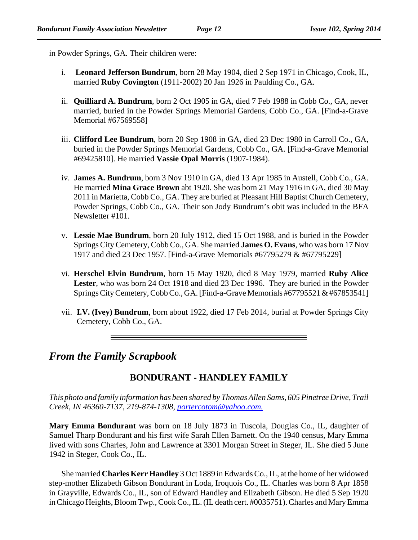in Powder Springs, GA. Their children were:

- i. **Leonard Jefferson Bundrum**, born 28 May 1904, died 2 Sep 1971 in Chicago, Cook, IL, married **Ruby Covington** (1911-2002) 20 Jan 1926 in Paulding Co., GA.
- ii. **Quilliard A. Bundrum**, born 2 Oct 1905 in GA, died 7 Feb 1988 in Cobb Co., GA, never married, buried in the Powder Springs Memorial Gardens, Cobb Co., GA. [Find-a-Grave Memorial #67569558]
- iii. **Clifford Lee Bundrum**, born 20 Sep 1908 in GA, died 23 Dec 1980 in Carroll Co., GA, buried in the Powder Springs Memorial Gardens, Cobb Co., GA. [Find-a-Grave Memorial #69425810]. He married **Vassie Opal Morris** (1907-1984).
- iv. **James A. Bundrum**, born 3 Nov 1910 in GA, died 13 Apr 1985 in Austell, Cobb Co., GA. He married **Mina Grace Brown** abt 1920. She was born 21 May 1916 in GA, died 30 May 2011 in Marietta, Cobb Co., GA. They are buried at Pleasant Hill Baptist Church Cemetery, Powder Springs, Cobb Co., GA. Their son Jody Bundrum's obit was included in the BFA Newsletter #101.
- v. **Lessie Mae Bundrum**, born 20 July 1912, died 15 Oct 1988, and is buried in the Powder Springs City Cemetery, Cobb Co., GA. She married **James O. Evans**, who was born 17 Nov 1917 and died 23 Dec 1957. [Find-a-Grave Memorials #67795279 & #67795229]
- vi. **Herschel Elvin Bundrum**, born 15 May 1920, died 8 May 1979, married **Ruby Alice Lester**, who was born 24 Oct 1918 and died 23 Dec 1996. They are buried in the Powder Springs City Cemetery, Cobb Co., GA. [Find-a-Grave Memorials #67795521 & #67853541]
- vii. **I.V. (Ivey) Bundrum**, born about 1922, died 17 Feb 2014, burial at Powder Springs City Cemetery, Cobb Co., GA.

# *From the Family Scrapbook*

# **BONDURANT - HANDLEY FAMILY**

*This photo and family information has been shared by Thomas Allen Sams, 605 Pinetree Drive, Trail Creek, IN 46360-7137, 219-874-1308, portercotom@yahoo.com.*

**Mary Emma Bondurant** was born on 18 July 1873 in Tuscola, Douglas Co., IL, daughter of Samuel Tharp Bondurant and his first wife Sarah Ellen Barnett. On the 1940 census, Mary Emma lived with sons Charles, John and Lawrence at 3301 Morgan Street in Steger, IL. She died 5 June 1942 in Steger, Cook Co., IL.

She married **Charles Kerr Handley** 3 Oct 1889 in Edwards Co., IL, at the home of her widowed step-mother Elizabeth Gibson Bondurant in Loda, Iroquois Co., IL. Charles was born 8 Apr 1858 in Grayville, Edwards Co., IL, son of Edward Handley and Elizabeth Gibson. He died 5 Sep 1920 in Chicago Heights, Bloom Twp., Cook Co., IL. (IL death cert. #0035751). Charles and Mary Emma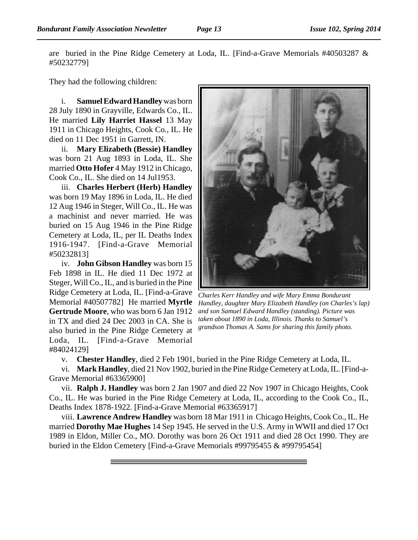are buried in the Pine Ridge Cemetery at Loda, IL. [Find-a-Grave Memorials #40503287 & #50232779]

They had the following children:

i. **Samuel Edward Handley** was born 28 July 1890 in Grayville, Edwards Co., IL. He married **Lily Harriet Hassel** 13 May 1911 in Chicago Heights, Cook Co., IL. He died on 11 Dec 1951 in Garrett, IN.

ii. **Mary Elizabeth (Bessie) Handley** was born 21 Aug 1893 in Loda, IL. She married **Otto Hofer** 4 May 1912 in Chicago, Cook Co., IL. She died on 14 Jul1953.

iii. **Charles Herbert (Herb) Handley** was born 19 May 1896 in Loda, IL. He died 12 Aug 1946 in Steger, Will Co., IL. He was a machinist and never married. He was buried on 15 Aug 1946 in the Pine Ridge Cemetery at Loda, IL, per IL Deaths Index 1916-1947. [Find-a-Grave Memorial #50232813]

iv. **John Gibson Handley** was born 15 Feb 1898 in IL. He died 11 Dec 1972 at Steger, Will Co., IL, and is buried in the Pine Ridge Cemetery at Loda, IL. [Find-a-Grave Memorial #40507782] He married **Myrtle Gertrude Moore**, who was born 6 Jan 1912 in TX and died 24 Dec 2003 in CA. She is also buried in the Pine Ridge Cemetery at Loda, IL. [Find-a-Grave Memorial #84024129]



*Charles Kerr Handley and wife Mary Emma Bondurant Handley, daughter Mary Elizabeth Handley (on Charles's lap) and son Samuel Edward Handley (standing). Picture was taken about 1890 in Loda, Illinois. Thanks to Samuel's grandson Thomas A. Sams for sharing this family photo.*

v. **Chester Handley**, died 2 Feb 1901, buried in the Pine Ridge Cemetery at Loda, IL.

vi. **Mark Handley**, died 21 Nov 1902, buried in the Pine Ridge Cemetery at Loda, IL. [Find-a-Grave Memorial #63365900]

vii. **Ralph J. Handley** was born 2 Jan 1907 and died 22 Nov 1907 in Chicago Heights, Cook Co., IL. He was buried in the Pine Ridge Cemetery at Loda, IL, according to the Cook Co., IL, Deaths Index 1878-1922. [Find-a-Grave Memorial #63365917]

viii. **Lawrence Andrew Handley** was born 18 Mar 1911 in Chicago Heights, Cook Co., IL. He married **Dorothy Mae Hughes** 14 Sep 1945. He served in the U.S. Army in WWII and died 17 Oct 1989 in Eldon, Miller Co., MO. Dorothy was born 26 Oct 1911 and died 28 Oct 1990. They are buried in the Eldon Cemetery [Find-a-Grave Memorials #99795455 & #99795454]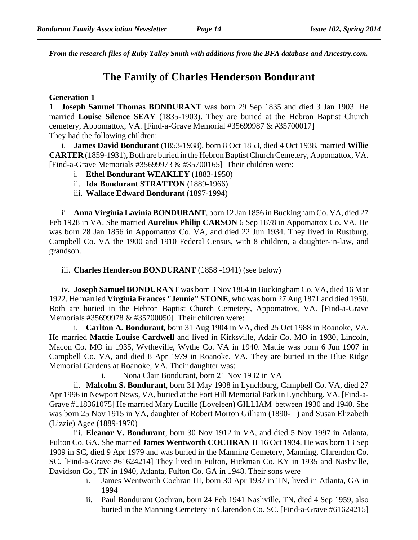*From the research files of Ruby Talley Smith with additions from the BFA database and Ancestry.com.*

### **The Family of Charles Henderson Bondurant**

#### **Generation 1**

1. **Joseph Samuel Thomas BONDURANT** was born 29 Sep 1835 and died 3 Jan 1903. He married **Louise Silence SEAY** (1835-1903). They are buried at the Hebron Baptist Church cemetery, Appomattox, VA. [Find-a-Grave Memorial #35699987 & #35700017] They had the following children:

i. **James David Bondurant** (1853-1938), born 8 Oct 1853, died 4 Oct 1938, married **Willie CARTER** (1859-1931), Both are buried in the Hebron Baptist Church Cemetery, Appomattox, VA. [Find-a-Grave Memorials #35699973 & #35700165] Their children were:

- i. **Ethel Bondurant WEAKLEY** (1883-1950)
- ii. **Ida Bondurant STRATTON** (1889-1966)
- iii. **Wallace Edward Bondurant** (1897-1994)

ii. **Anna Virginia Lavinia BONDURANT**, born 12 Jan 1856 in Buckingham Co. VA, died 27 Feb 1928 in VA. She married **Aurelius Philip CARSON** 6 Sep 1878 in Appomattox Co. VA. He was born 28 Jan 1856 in Appomattox Co. VA, and died 22 Jun 1934. They lived in Rustburg, Campbell Co. VA the 1900 and 1910 Federal Census, with 8 children, a daughter-in-law, and grandson.

iii. **Charles Henderson BONDURANT** (1858 -1941) (see below)

iv. **Joseph Samuel BONDURANT** was born 3 Nov 1864 in Buckingham Co. VA, died 16 Mar 1922. He married **Virginia Frances "Jennie" STONE**, who was born 27 Aug 1871 and died 1950. Both are buried in the Hebron Baptist Church Cemetery, Appomattox, VA. [Find-a-Grave Memorials #35699978 & #35700050] Their children were:

i. **Carlton A. Bondurant,** born 31 Aug 1904 in VA, died 25 Oct 1988 in Roanoke, VA. He married **Mattie Louise Cardwell** and lived in Kirksville, Adair Co. MO in 1930, Lincoln, Macon Co. MO in 1935, Wytheville, Wythe Co. VA in 1940. Mattie was born 6 Jun 1907 in Campbell Co. VA, and died 8 Apr 1979 in Roanoke, VA. They are buried in the Blue Ridge Memorial Gardens at Roanoke, VA. Their daughter was:

i. Nona Clair Bondurant, born 21 Nov 1932 in VA

ii. **Malcolm S. Bondurant**, born 31 May 1908 in Lynchburg, Campbell Co. VA, died 27 Apr 1996 in Newport News, VA, buried at the Fort Hill Memorial Park in Lynchburg. VA. [Find-a-Grave #118361075] He married Mary Lucille (Loveleen) GILLIAM between 1930 and 1940. She was born 25 Nov 1915 in VA, daughter of Robert Morton Gilliam (1890- ) and Susan Elizabeth (Lizzie) Agee (1889-1970)

iii. **Eleanor V. Bondurant**, born 30 Nov 1912 in VA, and died 5 Nov 1997 in Atlanta, Fulton Co. GA. She married **James Wentworth COCHRAN II** 16 Oct 1934. He was born 13 Sep 1909 in SC, died 9 Apr 1979 and was buried in the Manning Cemetery, Manning, Clarendon Co. SC. [Find-a-Grave #61624214] They lived in Fulton, Hickman Co. KY in 1935 and Nashville, Davidson Co., TN in 1940, Atlanta, Fulton Co. GA in 1948. Their sons were

- i. James Wentworth Cochran III, born 30 Apr 1937 in TN, lived in Atlanta, GA in 1994
- ii. Paul Bondurant Cochran, born 24 Feb 1941 Nashville, TN, died 4 Sep 1959, also buried in the Manning Cemetery in Clarendon Co. SC. [Find-a-Grave #61624215]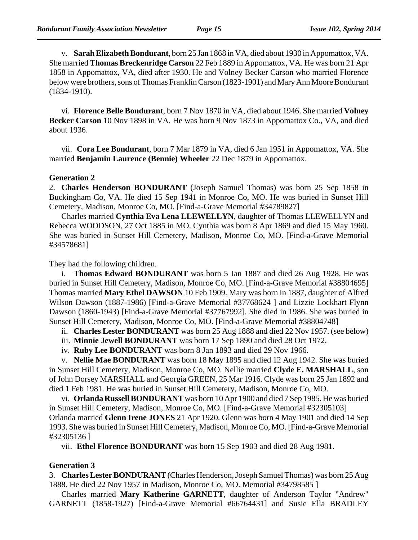v. **Sarah Elizabeth Bondurant**, born 25 Jan 1868 in VA, died about 1930 in Appomattox, VA. She married **Thomas Breckenridge Carson** 22 Feb 1889 in Appomattox, VA. He was born 21 Apr 1858 in Appomattox, VA, died after 1930. He and Volney Becker Carson who married Florence below were brothers, sons of Thomas Franklin Carson (1823-1901) and Mary Ann Moore Bondurant (1834-1910).

vi. **Florence Belle Bondurant**, born 7 Nov 1870 in VA, died about 1946. She married **Volney Becker Carson** 10 Nov 1898 in VA. He was born 9 Nov 1873 in Appomattox Co., VA, and died about 1936.

vii. **Cora Lee Bondurant**, born 7 Mar 1879 in VA, died 6 Jan 1951 in Appomattox, VA. She married **Benjamin Laurence (Bennie) Wheeler** 22 Dec 1879 in Appomattox.

### **Generation 2**

2. **Charles Henderson BONDURANT** (Joseph Samuel Thomas) was born 25 Sep 1858 in Buckingham Co, VA. He died 15 Sep 1941 in Monroe Co, MO. He was buried in Sunset Hill Cemetery, Madison, Monroe Co, MO. [Find-a-Grave Memorial #34789827]

Charles married **Cynthia Eva Lena LLEWELLYN**, daughter of Thomas LLEWELLYN and Rebecca WOODSON, 27 Oct 1885 in MO. Cynthia was born 8 Apr 1869 and died 15 May 1960. She was buried in Sunset Hill Cemetery, Madison, Monroe Co, MO. [Find-a-Grave Memorial #34578681]

They had the following children.

i. **Thomas Edward BONDURANT** was born 5 Jan 1887 and died 26 Aug 1928. He was buried in Sunset Hill Cemetery, Madison, Monroe Co, MO. [Find-a-Grave Memorial #38804695] Thomas married **Mary Ethel DAWSON** 10 Feb 1909. Mary was born in 1887, daughter of Alfred Wilson Dawson (1887-1986) [Find-a-Grave Memorial #37768624 ] and Lizzie Lockhart Flynn Dawson (1860-1943) [Find-a-Grave Memorial #37767992]. She died in 1986. She was buried in Sunset Hill Cemetery, Madison, Monroe Co, MO. [Find-a-Grave Memorial #38804748]

ii. **Charles Lester BONDURANT** was born 25 Aug 1888 and died 22 Nov 1957. (see below)

- iii. **Minnie Jewell BONDURANT** was born 17 Sep 1890 and died 28 Oct 1972.
- iv. **Ruby Lee BONDURANT** was born 8 Jan 1893 and died 29 Nov 1966.

v. **Nellie Mae BONDURANT** was born 18 May 1895 and died 12 Aug 1942. She was buried in Sunset Hill Cemetery, Madison, Monroe Co, MO. Nellie married **Clyde E. MARSHALL**, son of John Dorsey MARSHALL and Georgia GREEN, 25 Mar 1916. Clyde was born 25 Jan 1892 and died 1 Feb 1981. He was buried in Sunset Hill Cemetery, Madison, Monroe Co, MO.

vi. **Orlanda Russell BONDURANT** was born 10 Apr 1900 and died 7 Sep 1985. He was buried in Sunset Hill Cemetery, Madison, Monroe Co, MO. [Find-a-Grave Memorial #32305103] Orlanda married **Glenn Irene JONES** 21 Apr 1920. Glenn was born 4 May 1901 and died 14 Sep 1993. She was buried in Sunset Hill Cemetery, Madison, Monroe Co, MO. [Find-a-Grave Memorial

#32305136 ]

vii. **Ethel Florence BONDURANT** was born 15 Sep 1903 and died 28 Aug 1981.

### **Generation 3**

3. **Charles Lester BONDURANT** (Charles Henderson, Joseph Samuel Thomas) was born 25 Aug 1888. He died 22 Nov 1957 in Madison, Monroe Co, MO. Memorial #34798585 ]

Charles married **Mary Katherine GARNETT**, daughter of Anderson Taylor "Andrew" GARNETT (1858-1927) [Find-a-Grave Memorial #66764431] and Susie Ella BRADLEY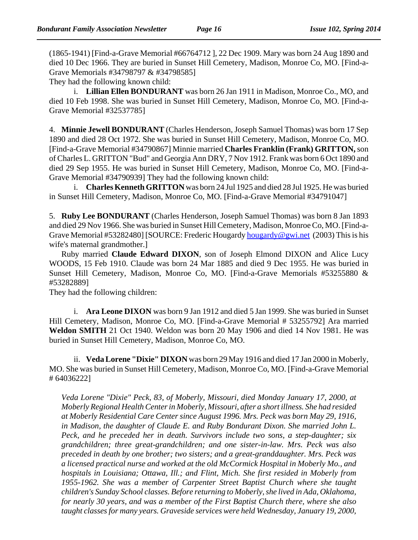(1865-1941) [Find-a-Grave Memorial #66764712 ], 22 Dec 1909. Mary was born 24 Aug 1890 and died 10 Dec 1966. They are buried in Sunset Hill Cemetery, Madison, Monroe Co, MO. [Find-a-Grave Memorials #34798797 & #34798585]

They had the following known child:

i. **Lillian Ellen BONDURANT** was born 26 Jan 1911 in Madison, Monroe Co., MO, and died 10 Feb 1998. She was buried in Sunset Hill Cemetery, Madison, Monroe Co, MO. [Find-a-Grave Memorial #32537785]

4. **Minnie Jewell BONDURANT** (Charles Henderson, Joseph Samuel Thomas) was born 17 Sep 1890 and died 28 Oct 1972. She was buried in Sunset Hill Cemetery, Madison, Monroe Co, MO. [Find-a-Grave Memorial #34790867] Minnie married **Charles Franklin (Frank) GRITTON,** son of Charles L. GRITTON "Bud" and Georgia Ann DRY, 7 Nov 1912. Frank was born 6 Oct 1890 and died 29 Sep 1955. He was buried in Sunset Hill Cemetery, Madison, Monroe Co, MO. [Find-a-Grave Memorial #34790939] They had the following known child:

i. **Charles Kenneth GRITTON** was born 24 Jul 1925 and died 28 Jul 1925. He was buried in Sunset Hill Cemetery, Madison, Monroe Co, MO. [Find-a-Grave Memorial #34791047]

5. **Ruby Lee BONDURANT** (Charles Henderson, Joseph Samuel Thomas) was born 8 Jan 1893 and died 29 Nov 1966. She was buried in Sunset Hill Cemetery, Madison, Monroe Co, MO. [Find-a-Grave Memorial #53282480] [SOURCE: Frederic Hougardy hougardy@gwi.net (2003) This is his wife's maternal grandmother.]

Ruby married **Claude Edward DIXON**, son of Joseph Elmond DIXON and Alice Lucy WOODS, 15 Feb 1910. Claude was born 24 Mar 1885 and died 9 Dec 1955. He was buried in Sunset Hill Cemetery, Madison, Monroe Co, MO. [Find-a-Grave Memorials #53255880 & #53282889]

They had the following children:

i. **Ara Leone DIXON** was born 9 Jan 1912 and died 5 Jan 1999. She was buried in Sunset Hill Cemetery, Madison, Monroe Co, MO. [Find-a-Grave Memorial # 53255792] Ara married **Weldon SMITH** 21 Oct 1940. Weldon was born 20 May 1906 and died 14 Nov 1981. He was buried in Sunset Hill Cemetery, Madison, Monroe Co, MO.

ii. **Veda Lorene "Dixie" DIXON** was born 29 May 1916 and died 17 Jan 2000 in Moberly, MO. She was buried in Sunset Hill Cemetery, Madison, Monroe Co, MO. [Find-a-Grave Memorial # 64036222]

*Veda Lorene "Dixie" Peck, 83, of Moberly, Missouri, died Monday January 17, 2000, at Moberly Regional Health Center in Moberly, Missouri, after a short illness. She had resided at Moberly Residential Care Center since August 1996. Mrs. Peck was born May 29, 1916, in Madison, the daughter of Claude E. and Ruby Bondurant Dixon. She married John L. Peck, and he preceded her in death. Survivors include two sons, a step-daughter; six grandchildren; three great-grandchildren; and one sister-in-law. Mrs. Peck was also preceded in death by one brother; two sisters; and a great-granddaughter. Mrs. Peck was a licensed practical nurse and worked at the old McCormick Hospital in Moberly Mo., and hospitals in Louisiana; Ottawa, Ill.; and Flint, Mich. She first resided in Moberly from 1955-1962. She was a member of Carpenter Street Baptist Church where she taught children's Sunday School classes. Before returning to Moberly, she lived in Ada, Oklahoma, for nearly 30 years, and was a member of the First Baptist Church there, where she also taught classes for many years. Graveside services were held Wednesday, January 19, 2000,*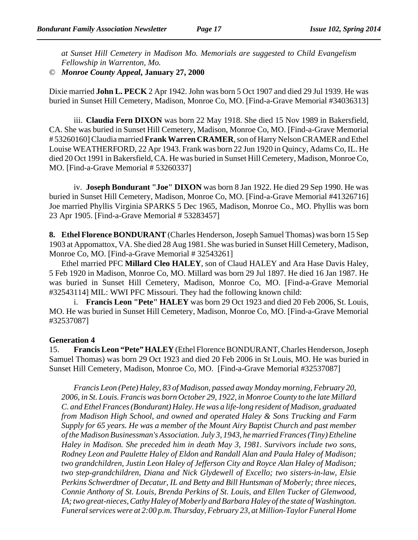*at Sunset Hill Cemetery in Madison Mo. Memorials are suggested to Child Evangelism Fellowship in Warrenton, Mo.* 

© *Monroe County Appeal***, January 27, 2000**

Dixie married **John L. PECK** 2 Apr 1942. John was born 5 Oct 1907 and died 29 Jul 1939. He was buried in Sunset Hill Cemetery, Madison, Monroe Co, MO. [Find-a-Grave Memorial #34036313]

iii. **Claudia Fern DIXON** was born 22 May 1918. She died 15 Nov 1989 in Bakersfield, CA. She was buried in Sunset Hill Cemetery, Madison, Monroe Co, MO. [Find-a-Grave Memorial # 53260160] Claudia married **Frank Warren CRAMER**, son of Harry Nelson CRAMER and Ethel Louise WEATHERFORD, 22 Apr 1943. Frank was born 22 Jun 1920 in Quincy, Adams Co, IL. He died 20 Oct 1991 in Bakersfield, CA. He was buried in Sunset Hill Cemetery, Madison, Monroe Co, MO. [Find-a-Grave Memorial # 53260337]

iv. **Joseph Bondurant "Joe" DIXON** was born 8 Jan 1922. He died 29 Sep 1990. He was buried in Sunset Hill Cemetery, Madison, Monroe Co, MO. [Find-a-Grave Memorial #41326716] Joe married Phyllis Virginia SPARKS 5 Dec 1965, Madison, Monroe Co., MO. Phyllis was born 23 Apr 1905. [Find-a-Grave Memorial # 53283457]

**8. Ethel Florence BONDURANT** (Charles Henderson, Joseph Samuel Thomas) was born 15 Sep 1903 at Appomattox, VA. She died 28 Aug 1981. She was buried in Sunset Hill Cemetery, Madison, Monroe Co, MO. [Find-a-Grave Memorial # 32543261]

Ethel married PFC **Millard Cleo HALEY**, son of Claud HALEY and Ara Hase Davis Haley, 5 Feb 1920 in Madison, Monroe Co, MO. Millard was born 29 Jul 1897. He died 16 Jan 1987. He was buried in Sunset Hill Cemetery, Madison, Monroe Co, MO. [Find-a-Grave Memorial #32543114] MIL: WWI PFC Missouri. They had the following known child:

i. **Francis Leon "Pete" HALEY** was born 29 Oct 1923 and died 20 Feb 2006, St. Louis, MO. He was buried in Sunset Hill Cemetery, Madison, Monroe Co, MO. [Find-a-Grave Memorial #32537087]

#### **Generation 4**

15. **Francis Leon "Pete" HALEY** (Ethel Florence BONDURANT, Charles Henderson, Joseph Samuel Thomas) was born 29 Oct 1923 and died 20 Feb 2006 in St Louis, MO. He was buried in Sunset Hill Cemetery, Madison, Monroe Co, MO. [Find-a-Grave Memorial #32537087]

*Francis Leon (Pete) Haley, 83 of Madison, passed away Monday morning, February 20, 2006, in St. Louis. Francis was born October 29, 1922, in Monroe County to the late Millard C. and Ethel Frances (Bondurant) Haley. He was a life-long resident of Madison, graduated from Madison High School, and owned and operated Haley & Sons Trucking and Farm Supply for 65 years. He was a member of the Mount Airy Baptist Church and past member of the Madison Businessman's Association. July 3, 1943, he married Frances (Tiny) Etheline Haley in Madison. She preceded him in death May 3, 1981. Survivors include two sons, Rodney Leon and Paulette Haley of Eldon and Randall Alan and Paula Haley of Madison; two grandchildren, Justin Leon Haley of Jefferson City and Royce Alan Haley of Madison; two step-grandchildren, Diana and Nick Glydewell of Excello; two sisters-in-law, Elsie Perkins Schwerdtner of Decatur, IL and Betty and Bill Huntsman of Moberly; three nieces, Connie Anthony of St. Louis, Brenda Perkins of St. Louis, and Ellen Tucker of Glenwood, IA; two great-nieces, Cathy Haley of Moberly and Barbara Haley of the state of Washington. Funeral services were at 2:00 p.m. Thursday, February 23, at Million-Taylor Funeral Home*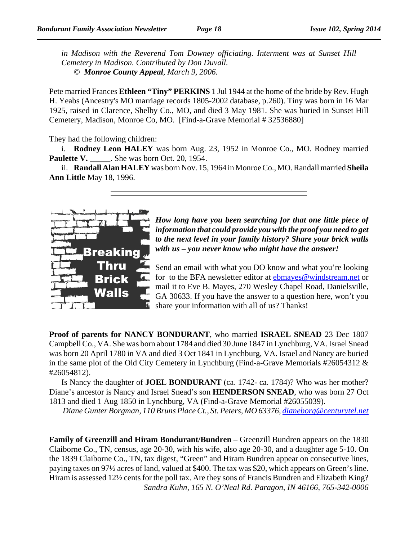*in Madison with the Reverend Tom Downey officiating. Interment was at Sunset Hill Cemetery in Madison. Contributed by Don Duvall. © Monroe County Appeal, March 9, 2006.* 

Pete married Frances **Ethleen "Tiny" PERKINS** 1 Jul 1944 at the home of the bride by Rev. Hugh H. Yeabs (Ancestry's MO marriage records 1805-2002 database, p.260). Tiny was born in 16 Mar 1925, raised in Clarence, Shelby Co., MO, and died 3 May 1981. She was buried in Sunset Hill Cemetery, Madison, Monroe Co, MO. [Find-a-Grave Memorial # 32536880]

They had the following children:

i. **Rodney Leon HALEY** was born Aug. 23, 1952 in Monroe Co., MO. Rodney married **Paulette V.** She was born Oct. 20, 1954.

ii. **Randall Alan HALEY** was born Nov. 15, 1964 in Monroe Co., MO. Randall married **Sheila Ann Little** May 18, 1996.



*How long have you been searching for that one little piece of information that could provide you with the proof you need to get to the next level in your family history? Share your brick walls with us – you never know who might have the answer!*

Send an email with what you DO know and what you're looking for to the BFA newsletter editor at ebmayes@windstream.net or mail it to Eve B. Mayes, 270 Wesley Chapel Road, Danielsville, GA 30633. If you have the answer to a question here, won't you share your information with all of us? Thanks!

**Proof of parents for NANCY BONDURANT**, who married **ISRAEL SNEAD** 23 Dec 1807 Campbell Co., VA. She was born about 1784 and died 30 June 1847 in Lynchburg, VA. Israel Snead was born 20 April 1780 in VA and died 3 Oct 1841 in Lynchburg, VA. Israel and Nancy are buried in the same plot of the Old City Cemetery in Lynchburg (Find-a-Grave Memorials #26054312 & #26054812).

Is Nancy the daughter of **JOEL BONDURANT** (ca. 1742- ca. 1784)? Who was her mother? Diane's ancestor is Nancy and Israel Snead's son **HENDERSON SNEAD**, who was born 27 Oct 1813 and died 1 Aug 1850 in Lynchburg, VA (Find-a-Grave Memorial #26055039).

*Diane Gunter Borgman, 110 Bruns Place Ct., St. Peters, MO 63376, dianeborg@centurytel.net*

**Family of Greenzill and Hiram Bondurant/Bundren** – Greenzill Bundren appears on the 1830 Claiborne Co., TN, census, age 20-30, with his wife, also age 20-30, and a daughter age 5-10. On the 1839 Claiborne Co., TN, tax digest, "Green" and Hiram Bundren appear on consecutive lines, paying taxes on 97½ acres of land, valued at \$400. The tax was \$20, which appears on Green's line. Hiram is assessed 12½ cents for the poll tax. Are they sons of Francis Bundren and Elizabeth King? *Sandra Kuhn, 165 N. O'Neal Rd. Paragon, IN 46166, 765-342-0006*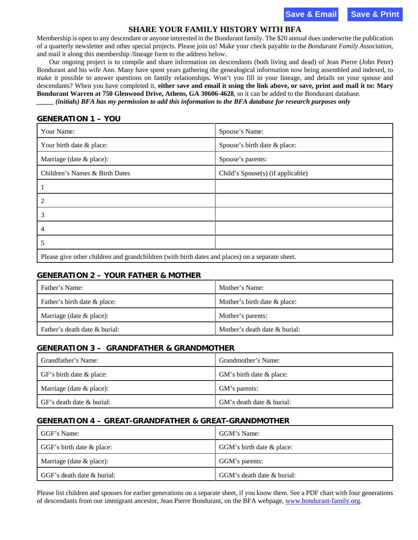**Save & Email Save & Print**

#### **SHARE YOUR FAMILY HISTORY WITH BFA**

Membership is open to any descendant or anyone interested in the Bondurant family. The \$20 annual dues underwrite the publication of a quarterly newsletter and other special projects. Please join us! Make your check payable to the *Bondurant Family Association*, and mail it along this membership /lineage form to the address below.

Our ongoing project is to compile and share information on descendants (both living and dead) of Jean Pierre (John Peter) Bondurant and his wife Ann. Many have spent years gathering the genealogical information now being assembled and indexed, to make it possible to answer questions on family relationships. Won't you fill in your lineage, and details on your spouse and descendants? When you have completed it, **either save and email it using the link above, or save, print and mail it to: Mary Bondurant Warren at 750 Glenwood Drive, Athens, GA 30606-4628**, so it can be added to the Bondurant database. *\_\_\_\_\_ (initials) BFA has my permission to add this information to the BFA database for research purposes only* 

#### **GENERATION 1 – YOU**

| Your Name:                                                                                      | Spouse's Name:                    |
|-------------------------------------------------------------------------------------------------|-----------------------------------|
| Your birth date & place:                                                                        | Spouse's birth date & place:      |
| Marriage (date & place):                                                                        | Spouse's parents:                 |
| Children's Names & Birth Dates                                                                  | Child's Spouse(s) (if applicable) |
|                                                                                                 |                                   |
| 2                                                                                               |                                   |
| 3                                                                                               |                                   |
| 4                                                                                               |                                   |
| 5                                                                                               |                                   |
| Please give other children and grandchildren (with birth dates and places) on a separate sheet. |                                   |

#### **GENERATION 2 – YOUR FATHER & MOTHER**

| Father's Name:                | Mother's Name:                |
|-------------------------------|-------------------------------|
| Father's birth date & place:  | Mother's birth date & place:  |
| Marriage (date $\&$ place):   | Mother's parents:             |
| Father's death date & burial: | Mother's death date & burial: |

#### **GENERATION 3 – GRANDFATHER & GRANDMOTHER**

| Grandfather's Name:         | Grandmother's Name:       |
|-----------------------------|---------------------------|
| GF's birth date & place:    | GM's birth date & place:  |
| Marriage (date $\&$ place): | GM's parents:             |
| GF's death date & burial:   | GM's death date & burial: |

### **GENERATION 4 – GREAT-GRANDFATHER & GREAT-GRANDMOTHER**

| GGF's Name:                | GGM's Name:                |
|----------------------------|----------------------------|
| GGF's birth date & place:  | GGM's birth date & place:  |
| Marriage (date $&$ place): | GGM's parents:             |
| GGF's death date & burial: | GGM's death date & burial: |

Please list children and spouses for earlier generations on a separate sheet, if you know them. See a PDF chart with four generations of descendants from our immigrant ancestor, Jean Pierre Bondurant, on the BFA webpa[ge, www.bondurant-family.o](http://www.bondurant-family.org)rg.